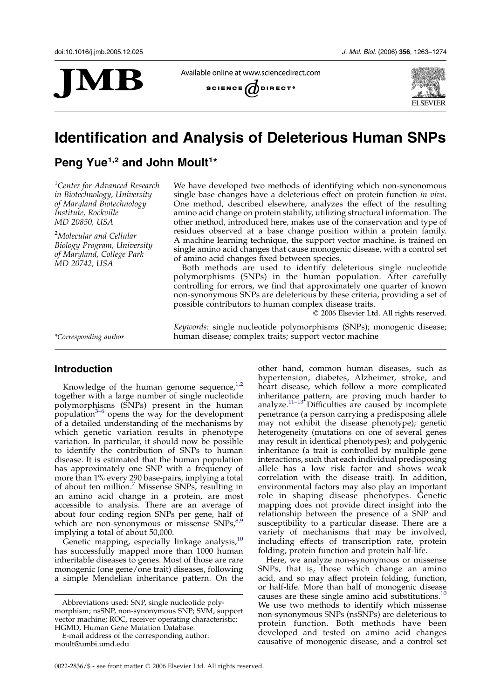

Available online at www.sciencedirect.com





# Identification and Analysis of Deleterious Human SNPs

Peng Yue<sup>1,2</sup> and John Moult<sup>1\*</sup>

<sup>1</sup>Center for Advanced Research in Biotechnology, University of Maryland Biotechnology Institute, Rockville MD 20850, USA

<sup>2</sup>Molecular and Cellular Biology Program, University of Maryland, College Park MD 20742, USA

We have developed two methods of identifying which non-synonomous single base changes have a deleterious effect on protein function in vivo. One method, described elsewhere, analyzes the effect of the resulting amino acid change on protein stability, utilizing structural information. The other method, introduced here, makes use of the conservation and type of residues observed at a base change position within a protein family. A machine learning technique, the support vector machine, is trained on single amino acid changes that cause monogenic disease, with a control set of amino acid changes fixed between species.

Both methods are used to identify deleterious single nucleotide polymorphisms (SNPs) in the human population. After carefully controlling for errors, we find that approximately one quarter of known non-synonymous SNPs are deleterious by these criteria, providing a set of possible contributors to human complex disease traits.

Keywords: single nucleotide polymorphisms (SNPs); monogenic disease;

 $©$  2006 Elsevier Ltd. All rights reserved.

\*Corresponding author human disease; complex traits; support vector machine

# Introduction

Knowledge of the human genome sequence, $1,2$ together with a large number of single nucleotide polymorphisms (SNPs) present in the human population $3-6$  opens the way for the development of a detailed understanding of the mechanisms by which genetic variation results in phenotype variation. In particular, it should now be possible to identify the contribution of SNPs to human disease. It is estimated that the human population has approximately one SNP with a frequency of more than 1% every 290 base-pairs, implying a total of about ten million.[7](#page-10-0) Missense SNPs, resulting in an amino acid change in a protein, are most accessible to analysis. There are an average of about four coding region SNPs per gene, half of which are non-synonymous or missense  $SNPs<sub>1</sub><sup>8,9</sup>$  $SNPs<sub>1</sub><sup>8,9</sup>$  $SNPs<sub>1</sub><sup>8,9</sup>$ implying a total of about 50,000.

Genetic mapping, especially linkage analysis,<sup>[10](#page-10-0)</sup> has successfully mapped more than 1000 human inheritable diseases to genes. Most of those are rare monogenic (one gene/one trait) diseases, following a simple Mendelian inheritance pattern. On the

other hand, common human diseases, such as hypertension, diabetes, Alzheimer, stroke, and heart disease, which follow a more complicated inheritance pattern, are proving much harder to analyze. $11-13$  Difficulties are caused by incomplete penetrance (a person carrying a predisposing allele may not exhibit the disease phenotype); genetic heterogeneity (mutations on one of several genes may result in identical phenotypes); and polygenic inheritance (a trait is controlled by multiple gene interactions, such that each individual predisposing allele has a low risk factor and shows weak correlation with the disease trait). In addition, environmental factors may also play an important role in shaping disease phenotypes. Genetic mapping does not provide direct insight into the relationship between the presence of a SNP and susceptibility to a particular disease. There are a variety of mechanisms that may be involved, including effects of transcription rate, protein folding, protein function and protein half-life.

Here, we analyze non-synonymous or missense SNPs, that is, those which change an amino acid, and so may affect protein folding, function, or half-life. More than half of monogenic disease causes are these single amino acid substitutions.<sup>1</sup> We use two methods to identify which missense non-synonymous SNPs (nsSNPs) are deleterious to protein function. Both methods have been developed and tested on amino acid changes causative of monogenic disease, and a control set

Abbreviations used: SNP, single nucleotide polymorphism; nsSNP, non-synonymous SNP; SVM, support vector machine; ROC, receiver operating characteristic; HGMD, Human Gene Mutation Database.

E-mail address of the corresponding author: moult@umbi.umd.edu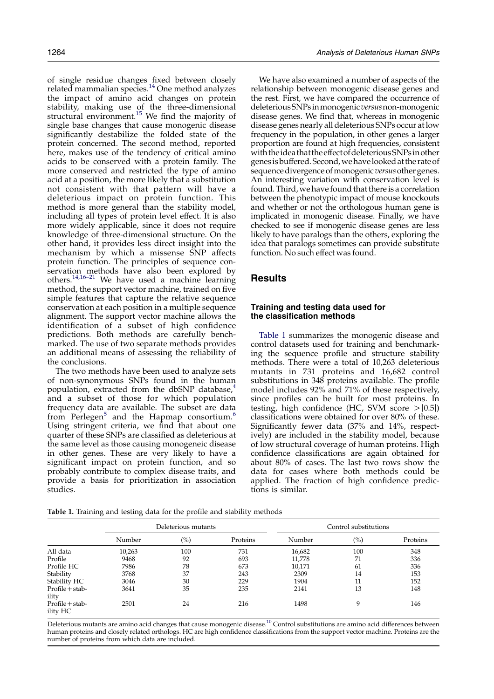of single residue changes fixed between closely related mammalian species.<sup>[14](#page-10-0)</sup> One method analyzes the impact of amino acid changes on protein stability, making use of the three-dimensional structural environment.<sup>[15](#page-10-0)</sup> We find the majority of single base changes that cause monogenic disease significantly destabilize the folded state of the protein concerned. The second method, reported here, makes use of the tendency of critical amino acids to be conserved with a protein family. The more conserved and restricted the type of amino acid at a position, the more likely that a substitution not consistent with that pattern will have a deleterious impact on protein function. This method is more general than the stability model, including all types of protein level effect. It is also more widely applicable, since it does not require knowledge of three-dimensional structure. On the other hand, it provides less direct insight into the mechanism by which a missense SNP affects protein function. The principles of sequence conservation methods have also been explored by others.<sup>[14,16–21](#page-10-0)</sup> We have used a machine learning method, the support vector machine, trained on five simple features that capture the relative sequence conservation at each position in a multiple sequence alignment. The support vector machine allows the identification of a subset of high confidence predictions. Both methods are carefully benchmarked. The use of two separate methods provides an additional means of assessing the reliability of the conclusions.

The two methods have been used to analyze sets of non-synonymous SNPs found in the human population, extracted from the dbSNP database, $4$ and a subset of those for which population frequency data are available. The subset are data from Perlegen<sup>[5](#page-10-0)</sup> and the Hapmap consortium.<sup>[6](#page-10-0)</sup> Using stringent criteria, we find that about one quarter of these SNPs are classified as deleterious at the same level as those causing monogeneic disease in other genes. These are very likely to have a significant impact on protein function, and so probably contribute to complex disease traits, and provide a basis for prioritization in association studies.

We have also examined a number of aspects of the relationship between monogenic disease genes and the rest. First, we have compared the occurrence of deleterious SNPs in monogenic versus non-monogenic disease genes. We find that, whereas in monogenic disease genes nearly all deleterious SNPs occur at low frequency in the population, in other genes a larger proportion are found at high frequencies, consistent withtheideathattheeffectofdeleteriousSNPsinother genesisbuffered. Second, wehavelookedattherateof sequence divergence of monogenic versus other genes. An interesting variation with conservation level is found. Third, we have found that there is a correlation between the phenotypic impact of mouse knockouts and whether or not the orthologous human gene is implicated in monogenic disease. Finally, we have checked to see if monogenic disease genes are less likely to have paralogs than the others, exploring the idea that paralogs sometimes can provide substitute function. No such effect was found.

# **Results**

# Training and testing data used for the classification methods

Table 1 summarizes the monogenic disease and control datasets used for training and benchmarking the sequence profile and structure stability methods. There were a total of 10,263 deleterious mutants in 731 proteins and 16,682 control substitutions in 348 proteins available. The profile model includes 92% and 71% of these respectively, since profiles can be built for most proteins. In testing, high confidence (HC, SVM score  $>$  [0.5]) classifications were obtained for over 80% of these. Significantly fewer data (37% and 14%, respectively) are included in the stability model, because of low structural coverage of human proteins. High confidence classifications are again obtained for about 80% of cases. The last two rows show the data for cases where both methods could be applied. The fraction of high confidence predictions is similar.

Table 1. Training and testing data for the profile and stability methods

|                              | Deleterious mutants |        |          |        | Control substitutions |          |
|------------------------------|---------------------|--------|----------|--------|-----------------------|----------|
|                              | Number              | $(\%)$ | Proteins | Number | $(\%)$                | Proteins |
| All data                     | 10,263              | 100    | 731      | 16,682 | 100                   | 348      |
| Profile                      | 9468                | 92     | 693      | 11,778 | 71                    | 336      |
| Profile HC                   | 7986                | 78     | 673      | 10,171 | 61                    | 336      |
| Stability                    | 3768                | 37     | 243      | 2309   | 14                    | 153      |
| Stability HC                 | 3046                | 30     | 229      | 1904   | 11                    | 152      |
| $Profit + stab-$<br>ility    | 3641                | 35     | 235      | 2141   | 13                    | 148      |
| $Profit + stab-$<br>ility HC | 2501                | 24     | 216      | 1498   | 9                     | 146      |

Deleterious mutants are amino acid changes that cause monogenic disease.<sup>10</sup> Control substitutions are amino acid differences between human proteins and closely related orthologs. HC are high confidence classifications from the support vector machine. Proteins are the number of proteins from which data are included.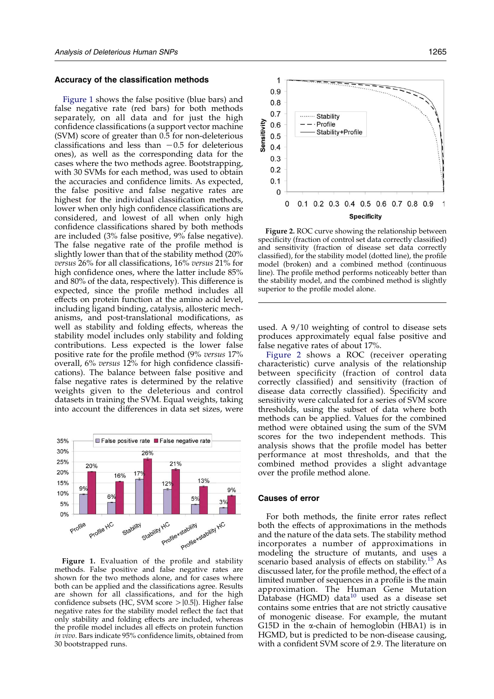#### Accuracy of the classification methods

Figure 1 shows the false positive (blue bars) and false negative rate (red bars) for both methods separately, on all data and for just the high confidence classifications (a support vector machine (SVM) score of greater than 0.5 for non-deleterious classifications and less than  $-0.5$  for deleterious ones), as well as the corresponding data for the cases where the two methods agree. Bootstrapping, with 30 SVMs for each method, was used to obtain the accuracies and confidence limits. As expected, the false positive and false negative rates are highest for the individual classification methods, lower when only high confidence classifications are considered, and lowest of all when only high confidence classifications shared by both methods are included (3% false positive, 9% false negative). The false negative rate of the profile method is slightly lower than that of the stability method (20% versus 26% for all classifications, 16% versus 21% for high confidence ones, where the latter include 85% and 80% of the data, respectively). This difference is expected, since the profile method includes all effects on protein function at the amino acid level, including ligand binding, catalysis, allosteric mechanisms, and post-translational modifications, as well as stability and folding effects, whereas the stability model includes only stability and folding contributions. Less expected is the lower false positive rate for the profile method (9% versus 17% overall, 6% versus 12% for high confidence classifications). The balance between false positive and false negative rates is determined by the relative weights given to the deleterious and control datasets in training the SVM. Equal weights, taking into account the differences in data set sizes, were



Figure 1. Evaluation of the profile and stability methods. False positive and false negative rates are shown for the two methods alone, and for cases where both can be applied and the classifications agree. Results are shown for all classifications, and for the high confidence subsets (HC, SVM score  $>$  [0.5]). Higher false negative rates for the stability model reflect the fact that only stability and folding effects are included, whereas the profile model includes all effects on protein function in vivo. Bars indicate 95% confidence limits, obtained from 30 bootstrapped runs.



Figure 2. ROC curve showing the relationship between specificity (fraction of control set data correctly classified) and sensitivity (fraction of disease set data correctly classified), for the stability model (dotted line), the profile model (broken) and a combined method (continuous line). The profile method performs noticeably better than the stability model, and the combined method is slightly superior to the profile model alone.

used. A 9/10 weighting of control to disease sets produces approximately equal false positive and false negative rates of about 17%.

Figure 2 shows a ROC (receiver operating characteristic) curve analysis of the relationship between specificity (fraction of control data correctly classified) and sensitivity (fraction of disease data correctly classified). Specificity and sensitivity were calculated for a series of SVM score thresholds, using the subset of data where both methods can be applied. Values for the combined method were obtained using the sum of the SVM scores for the two independent methods. This analysis shows that the profile model has better performance at most thresholds, and that the combined method provides a slight advantage over the profile method alone.

### Causes of error

For both methods, the finite error rates reflect both the effects of approximations in the methods and the nature of the data sets. The stability method incorporates a number of approximations in modeling the structure of mutants, and uses a scenario based analysis of effects on stability.<sup>[15](#page-10-0)</sup> As discussed later, for the profile method, the effect of a limited number of sequences in a profile is the main approximation. The Human Gene Mutation  $D$ atabase (HGMD) data<sup>[10](#page-10-0)</sup> used as a disease set contains some entries that are not strictly causative of monogenic disease. For example, the mutant G15D in the  $\alpha$ -chain of hemoglobin (HBA1) is in HGMD, but is predicted to be non-disease causing, with a confident SVM score of 2.9. The literature on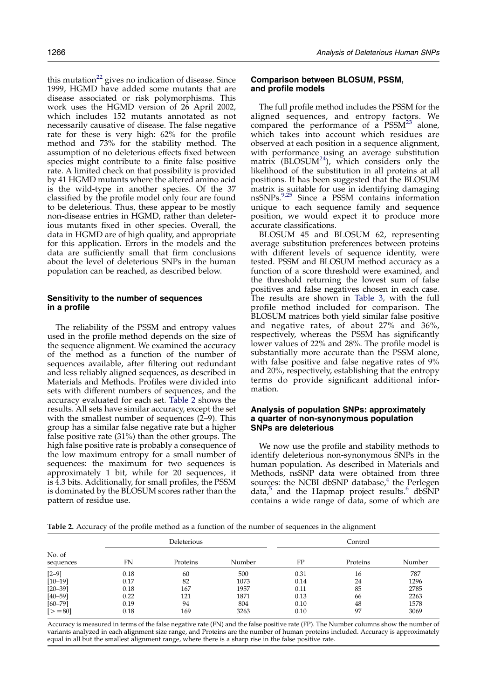this mutation $^{22}$  $^{22}$  $^{22}$  gives no indication of disease. Since 1999, HGMD have added some mutants that are disease associated or risk polymorphisms. This work uses the HGMD version of 26 April 2002, which includes 152 mutants annotated as not necessarily causative of disease. The false negative rate for these is very high: 62% for the profile method and 73% for the stability method. The assumption of no deleterious effects fixed between species might contribute to a finite false positive rate. A limited check on that possibility is provided by 41 HGMD mutants where the altered amino acid is the wild-type in another species. Of the 37 classified by the profile model only four are found to be deleterious. Thus, these appear to be mostly non-disease entries in HGMD, rather than deleterious mutants fixed in other species. Overall, the data in HGMD are of high quality, and appropriate for this application. Errors in the models and the data are sufficiently small that firm conclusions about the level of deleterious SNPs in the human population can be reached, as described below.

### Sensitivity to the number of sequences in a profile

The reliability of the PSSM and entropy values used in the profile method depends on the size of the sequence alignment. We examined the accuracy of the method as a function of the number of sequences available, after filtering out redundant and less reliably aligned sequences, as described in Materials and Methods. Profiles were divided into sets with different numbers of sequences, and the accuracy evaluated for each set. Table 2 shows the results. All sets have similar accuracy, except the set with the smallest number of sequences (2–9). This group has a similar false negative rate but a higher false positive rate (31%) than the other groups. The high false positive rate is probably a consequence of the low maximum entropy for a small number of sequences: the maximum for two sequences is approximately 1 bit, while for 20 sequences, it is 4.3 bits. Additionally, for small profiles, the PSSM is dominated by the BLOSUM scores rather than the pattern of residue use.

# Comparison between BLOSUM, PSSM, and profile models

The full profile method includes the PSSM for the aligned sequences, and entropy factors. We compared the performance of  $a$  PSSM<sup>[23](#page-10-0)</sup> alone, which takes into account which residues are observed at each position in a sequence alignment, with performance using an average substitution matrix (BLOSUM $^{24}$ ), which considers only the likelihood of the substitution in all proteins at all positions. It has been suggested that the BLOSUM matrix is suitable for use in identifying damaging nsSNPs.[9,25](#page-10-0) Since a PSSM contains information unique to each sequence family and sequence position, we would expect it to produce more accurate classifications.

BLOSUM 45 and BLOSUM 62, representing average substitution preferences between proteins with different levels of sequence identity, were tested. PSSM and BLOSUM method accuracy as a function of a score threshold were examined, and the threshold returning the lowest sum of false positives and false negatives chosen in each case. The results are shown in [Table 3](#page-4-0), with the full profile method included for comparison. The BLOSUM matrices both yield similar false positive and negative rates, of about 27% and 36%, respectively, whereas the PSSM has significantly lower values of 22% and 28%. The profile model is substantially more accurate than the PSSM alone, with false positive and false negative rates of 9% and 20%, respectively, establishing that the entropy terms do provide significant additional information.

# Analysis of population SNPs: approximately a quarter of non-synonymous population SNPs are deleterious

We now use the profile and stability methods to identify deleterious non-synonymous SNPs in the human population. As described in Materials and Methods, nsSNP data were obtained from three sources: the NCBI dbSNP database, $4$  the Perlegen data, $5$  and the Hapmap project results. $6$  dbSNP contains a wide range of data, some of which are

Table 2. Accuracy of the profile method as a function of the number of sequences in the alignment

|                     |      | Deleterious |        |      | Control  |        |
|---------------------|------|-------------|--------|------|----------|--------|
| No. of<br>sequences | FN   | Proteins    | Number | FP   | Proteins | Number |
| $[2-9]$             | 0.18 | 60          | 500    | 0.31 | 16       | 787    |
| $[10-19]$           | 0.17 | 82          | 1073   | 0.14 | 24       | 1296   |
| $[20 - 39]$         | 0.18 | 167         | 1957   | 0.11 | 85       | 2785   |
| $[40 - 59]$         | 0.22 | 121         | 1871   | 0.13 | 66       | 2263   |
| $[60 - 79]$         | 0.19 | 94          | 804    | 0.10 | 48       | 1578   |
| $[-80]$             | 0.18 | 169         | 3263   | 0.10 | 97       | 3069   |

Accuracy is measured in terms of the false negative rate (FN) and the false positive rate (FP). The Number columns show the number of variants analyzed in each alignment size range, and Proteins are the number of human proteins included. Accuracy is approximately equal in all but the smallest alignment range, where there is a sharp rise in the false positive rate.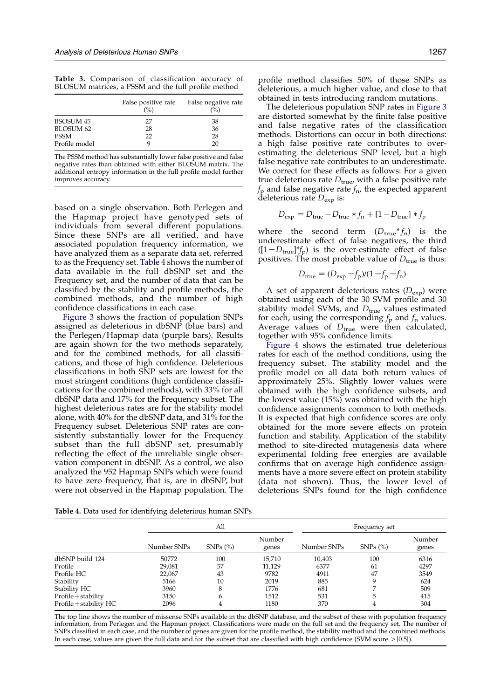<span id="page-4-0"></span>Table 3. Comparison of classification accuracy of BLOSUM matrices, a PSSM and the full profile method

|                  | False positive rate<br>(%) | False negative rate<br>$\%$ |
|------------------|----------------------------|-----------------------------|
| <b>BSOSUM 45</b> | 27                         | 38                          |
| <b>BLOSUM 62</b> | 28                         | 36                          |
| <b>PSSM</b>      | 22                         | 28                          |
| Profile model    |                            | 20                          |

The PSSM method has substantially lower false positive and false negative rates than obtained with either BLOSUM matrix. The additional entropy information in the full profile model further improves accuracy.

based on a single observation. Both Perlegen and the Hapmap project have genotyped sets of individuals from several different populations. Since these SNPs are all verified, and have associated population frequency information, we have analyzed them as a separate data set, referred to as the Frequency set. Table 4 shows the number of data available in the full dbSNP set and the Frequency set, and the number of data that can be classified by the stability and profile methods, the combined methods, and the number of high confidence classifications in each case.

[Figure 3](#page-5-0) shows the fraction of population SNPs assigned as deleterious in dbSNP (blue bars) and the Perlegen/Hapmap data (purple bars). Results are again shown for the two methods separately, and for the combined methods, for all classifications, and those of high confidence. Deleterious classifications in both SNP sets are lowest for the most stringent conditions (high confidence classifications for the combined methods), with 33% for all dbSNP data and 17% for the Frequency subset. The highest deleterious rates are for the stability model alone, with 40% for the dbSNP data, and 31% for the Frequency subset. Deleterious SNP rates are consistently substantially lower for the Frequency subset than the full dbSNP set, presumably reflecting the effect of the unreliable single observation component in dbSNP. As a control, we also analyzed the 952 Hapmap SNPs which were found to have zero frequency, that is, are in dbSNP, but were not observed in the Hapmap population. The

Table 4. Data used for identifying deleterious human SNPs

profile method classifies 50% of those SNPs as deleterious, a much higher value, and close to that obtained in tests introducing random mutations.

The deleterious population SNP rates in [Figure 3](#page-5-0) are distorted somewhat by the finite false positive and false negative rates of the classification methods. Distortions can occur in both directions: a high false positive rate contributes to overestimating the deleterious SNP level, but a high false negative rate contributes to an underestimate. We correct for these effects as follows: For a given true deleterious rate  $D_{true}$ , with a false positive rate  $f_{\rm p}$  and false negative rate  $f_{\rm n}$ , the expected apparent deleterious rate  $D_{\text{exp}}$  is:

$$
D_{\text{exp}} = D_{\text{true}} - D_{\text{true}} * f_n + [1 - D_{\text{true}}] * f_p
$$

where the second term  $(D_{true} * f_n)$  is the underestimate effect of false negatives, the third  $([1-D_{true}]^*f_p)$  is the over-estimate effect of false positives. The most probable value of  $D_{true}$  is thus:

$$
D_{\text{true}} = (D_{\text{exp}} - f_{\text{p}})/(1 - f_{\text{p}} - f_{\text{n}})
$$

A set of apparent deleterious rates  $(D_{\text{exp}})$  were obtained using each of the 30 SVM profile and 30 stability model SVMs, and  $D_{true}$  values estimated for each, using the corresponding  $f_p$  and  $f_n$  values. Average values of  $D_{true}$  were then calculated, together with 95% confidence limits.

[Figure 4](#page-5-0) shows the estimated true deleterious rates for each of the method conditions, using the frequency subset. The stability model and the profile model on all data both return values of approximately 25%. Slightly lower values were obtained with the high confidence subsets, and the lowest value (15%) was obtained with the high confidence assignments common to both methods. It is expected that high confidence scores are only obtained for the more severe effects on protein function and stability. Application of the stability method to site-directed mutagenesis data where experimental folding free energies are available confirms that on average high confidence assignments have a more severe effect on protein stability (data not shown). Thus, the lower level of deleterious SNPs found for the high confidence

|                        | All         |                        |                 | Frequency set |                           |                 |
|------------------------|-------------|------------------------|-----------------|---------------|---------------------------|-----------------|
|                        | Number SNPs | $SNPs$ $\frac{\%}{\%}$ | Number<br>genes | Number SNPs   | $SNPs$ $\left(\% \right)$ | Number<br>genes |
| dbSNP build 124        | 50772       | 100                    | 15,710          | 10,403        | 100                       | 6316            |
| Profile                | 29,081      | 57                     | 11,129          | 6377          | 61                        | 4297            |
| Profile HC             | 22,067      | 43                     | 9782            | 4911          | 47                        | 3549            |
| Stability              | 5166        | 10                     | 2019            | 885           | 9                         | 624             |
| Stability HC           | 3960        | 8                      | 1776            | 681           |                           | 509             |
| Profile + stability    | 3150        | 6                      | 1512            | 531           | 5                         | 415             |
| Profile + stability HC | 2096        | 4                      | 1180            | 370           | 4                         | 304             |

The top line shows the number of missense SNPs available in the dbSNP database, and the subset of these with population frequency information, from Perlegen and the Hapman project. Classifications were made on the full set and the frequency set. The number of SNPs classified in each case, and the number of genes are given for the profile method, the stability method and the combined methods. In each case, values are given the full data and for the subset that are classified with high confidence (SVM score  $>$  [0.5]).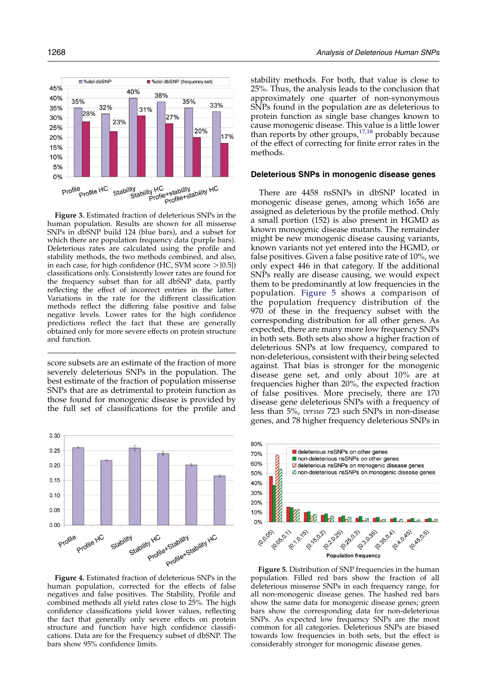<span id="page-5-0"></span><sup>%</sup>del dbSNF ■ %del dbSNP (frequency set) 45%  $40%$ 38%  $40%$  $35%$ 35% 33% 32% 35% 31% 28% 27% 30% 23% 25% 20%  $17%$ 20% 15%  $10%$ 5%  $0%$ Stability<br>Stability HC<br>Profile+stability HC<br>Profile+stability HC Profile Profile HC

Figure 3. Estimated fraction of deleterious SNPs in the human population. Results are shown for all missense SNPs in dbSNP build 124 (blue bars), and a subset for which there are population frequency data (purple bars). Deleterious rates are calculated using the profile and stability methods, the two methods combined, and also, in each case, for high confidence (HC, SVM score  $>$  [0.5]) classifications only. Consistently lower rates are found for the frequency subset than for all dbSNP data, partly reflecting the effect of incorrect entries in the latter. Variations in the rate for the different classification methods reflect the differing false positive and false negative levels. Lower rates for the high confidence predictions reflect the fact that these are generally obtained only for more severe effects on protein structure and function.

score subsets are an estimate of the fraction of more severely deleterious SNPs in the population. The best estimate of the fraction of population missense SNPs that are as detrimental to protein function as those found for monogenic disease is provided by the full set of classifications for the profile and



Figure 4. Estimated fraction of deleterious SNPs in the human population, corrected for the effects of false negatives and false positives. The Stability, Profile and combined methods all yield rates close to 25%. The high confidence classifications yield lower values, reflecting the fact that generally only severe effects on protein structure and function have high confidence classifications. Data are for the Frequency subset of dbSNP. The bars show 95% confidence limits.

stability methods. For both, that value is close to 25%. Thus, the analysis leads to the conclusion that approximately one quarter of non-synonymous SNPs found in the population are as deleterious to protein function as single base changes known to cause monogenic disease. This value is a little lower than reports by other groups,  $17,18$  probably because of the effect of correcting for finite error rates in the methods.

### Deleterious SNPs in monogenic disease genes

There are 4458 nsSNPs in dbSNP located in monogenic disease genes, among which 1656 are assigned as deleterious by the profile method. Only a small portion (152) is also present in HGMD as known monogenic disease mutants. The remainder might be new monogenic disease causing variants, known variants not yet entered into the HGMD, or false positives. Given a false positive rate of 10%, we only expect 446 in that category. If the additional SNPs really are disease causing, we would expect them to be predominantly at low frequencies in the population. Figure 5 shows a comparison of the population frequency distribution of the 970 of these in the frequency subset with the corresponding distribution for all other genes. As expected, there are many more low frequency SNPs in both sets. Both sets also show a higher fraction of deleterious SNPs at low frequency, compared to non-deleterious, consistent with their being selected against. That bias is stronger for the monogenic disease gene set, and only about 10% are at frequencies higher than 20%, the expected fraction of false positives. More precisely, there are 170 disease gene deleterious SNPs with a frequency of less than 5%, versus 723 such SNPs in non-disease genes, and 78 higher frequency deleterious SNPs in



Figure 5. Distribution of SNP frequencies in the human population. Filled red bars show the fraction of all deleterious missense SNPs in each frequency range, for all non-monogenic disease genes. The hashed red bars show the same data for monogenic disease genes; green bars show the corresponding data for non-deleterious SNPs. As expected low frequency SNPs are the most common for all categories. Deleterious SNPs are biased towards low frequencies in both sets, but the effect is considerably stronger for monogenic disease genes.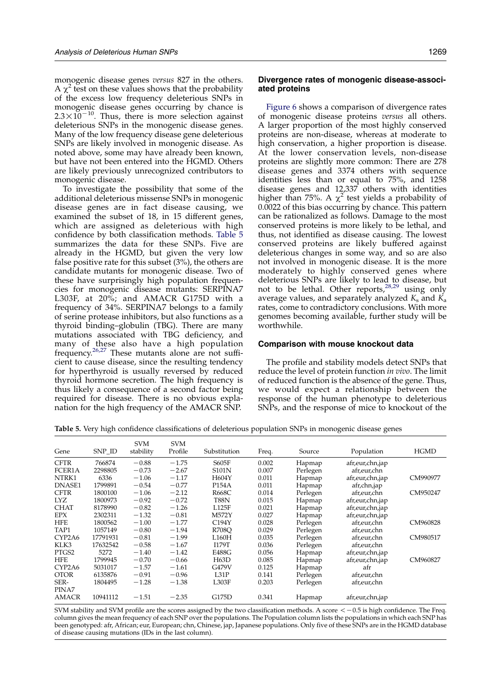monogenic disease genes versus 827 in the others. A  $\chi^2$  test on these values shows that the probability of the excess low frequency deleterious SNPs in monogenic disease genes occurring by chance is  $2.3 \times 10^{-10}$ . Thus, there is more selection against deleterious SNPs in the monogenic disease genes. Many of the low frequency disease gene deleterious SNPs are likely involved in monogenic disease. As noted above, some may have already been known, but have not been entered into the HGMD. Others are likely previously unrecognized contributors to monogenic disease.

To investigate the possibility that some of the additional deleterious missense SNPs in monogenic disease genes are in fact disease causing, we examined the subset of 18, in 15 different genes, which are assigned as deleterious with high confidence by both classification methods. Table 5 summarizes the data for these SNPs. Five are already in the HGMD, but given the very low false positive rate for this subset (3%), the others are candidate mutants for monogenic disease. Two of these have surprisingly high population frequencies for monogenic disease mutants: SERPINA7 L303F, at 20%; and AMACR G175D with a frequency of 34%. SERPINA7 belongs to a family of serine protease inhibitors, but also functions as a thyroid binding–globulin (TBG). There are many mutations associated with TBG deficiency, and many of these also have a high population frequency.<sup>[26,27](#page-11-0)</sup> These mutants alone are not sufficient to cause disease, since the resulting tendency for hyperthyroid is usually reversed by reduced thyroid hormone secretion. The high frequency is thus likely a consequence of a second factor being required for disease. There is no obvious explanation for the high frequency of the AMACR SNP.

### Divergence rates of monogenic disease-associated proteins

[Figure 6](#page-7-0) shows a comparison of divergence rates of monogenic disease proteins versus all others. A larger proportion of the most highly conserved proteins are non-disease, whereas at moderate to high conservation, a higher proportion is disease. At the lower conservation levels, non-disease proteins are slightly more common: There are 278 disease genes and 3374 others with sequence identities less than or equal to 75%, and 1258 disease genes and 12,337 others with identities higher than 75%. A  $\chi^2$  test yields a probability of 0.0022 of this bias occurring by chance. This pattern can be rationalized as follows. Damage to the most conserved proteins is more likely to be lethal, and thus, not identified as disease causing. The lowest conserved proteins are likely buffered against deleterious changes in some way, and so are also not involved in monogenic disease. It is the more moderately to highly conserved genes where deleterious SNPs are likely to lead to disease, but not to be lethal. Other reports,<sup>[28,29](#page-11-0)</sup> using only average values, and separately analyzed  $K_s$  and  $K_a$ rates, come to contradictory conclusions. With more genomes becoming available, further study will be worthwhile.

### Comparison with mouse knockout data

The profile and stability models detect SNPs that reduce the level of protein function *in vivo*. The limit of reduced function is the absence of the gene. Thus, we would expect a relationship between the response of the human phenotype to deleterious SNPs, and the response of mice to knockout of the

Table 5. Very high confidence classifications of deleterious population SNPs in monogenic disease genes

| Gene         | SNP ID   | <b>SVM</b><br>stability | <b>SVM</b><br>Profile | Substitution | Freq. | Source   | Population      | <b>HGMD</b> |
|--------------|----------|-------------------------|-----------------------|--------------|-------|----------|-----------------|-------------|
| <b>CFTR</b>  | 766874   | $-0.88$                 | $-1.75$               | S605F        | 0.002 | Hapmap   | afr,eur,chn,jap |             |
| FCER1A       | 2298805  | $-0.73$                 | $-2.67$               | <b>S101N</b> | 0.007 | Perlegen | afr,eur,chn     |             |
| NTRK1        | 6336     | $-1.06$                 | $-1.17$               | H604Y        | 0.011 | Hapmap   | afr,eur,chn,jap | CM990977    |
| DNASE1       | 1799891  | $-0.54$                 | $-0.77$               | P154A        | 0.011 | Hapmap   | afr,chn,jap     |             |
| <b>CFTR</b>  | 1800100  | $-1.06$                 | $-2.12$               | R668C        | 0.014 | Perlegen | afr,eur,chn     | CM950247    |
| <b>LYZ</b>   | 1800973  | $-0.92$                 | $-0.72$               | T88N         | 0.015 | Hapmap   | afr,eur,chn,jap |             |
| <b>CHAT</b>  | 8178990  | $-0.82$                 | $-1.26$               | L125F        | 0.021 | Hapmap   | afr,eur,chn,jap |             |
| <b>EPX</b>   | 2302311  | $-1.32$                 | $-0.81$               | M572Y        | 0.027 | Hapmap   | afr,eur,chn,jap |             |
| <b>HFE</b>   | 1800562  | $-1.00$                 | $-1.77$               | C194Y        | 0.028 | Perlegen | afr,eur,chn     | CM960828    |
| TAP1         | 1057149  | $-0.80$                 | $-1.94$               | <b>R708O</b> | 0.029 | Perlegen | afr,eur,chn     |             |
| CYP2A6       | 17791931 | $-0.81$                 | $-1.99$               | L160H        | 0.035 | Perlegen | afr,eur,chn     | CM980517    |
| KLK3         | 17632542 | $-0.58$                 | $-1.67$               | <b>I179T</b> | 0.036 | Perlegen | afr,eur,chn     |             |
| PTGS2        | 5272     | $-1.40$                 | $-1.42$               | E488G        | 0.056 | Hapmap   | afr,eur,chn,jap |             |
| <b>HFE</b>   | 1799945  | $-0.70$                 | $-0.66$               | H63D         | 0.085 | Hapmap   | afr,eur,chn,jap | CM960827    |
| CYP2A6       | 5031017  | $-1.57$                 | $-1.61$               | G479V        | 0.125 | Hapmap   | afr             |             |
| <b>OTOR</b>  | 6135876  | $-0.91$                 | $-0.96$               | L31P         | 0.141 | Perlegen | afr,eur,chn     |             |
| SER-         | 1804495  | $-1.28$                 | $-1.38$               | L303F        | 0.203 | Perlegen | afr,eur,chn     |             |
| PINA7        |          |                         |                       |              |       |          |                 |             |
| <b>AMACR</b> | 10941112 | $-1.51$                 | $-2.35$               | G175D        | 0.341 | Hapmap   | afr,eur,chn,jap |             |

SVM stability and SVM profile are the scores assigned by the two classification methods. A score  $\leq -0.5$  is high confidence. The Freq. column gives the mean frequency of each SNP over the populations. The Population column lists the populations in which each SNP has been genotyped: afr, African; eur, European; chn, Chinese, jap, Japanese populations. Only five of these SNPs are in the HGMD database of disease causing mutations (IDs in the last column).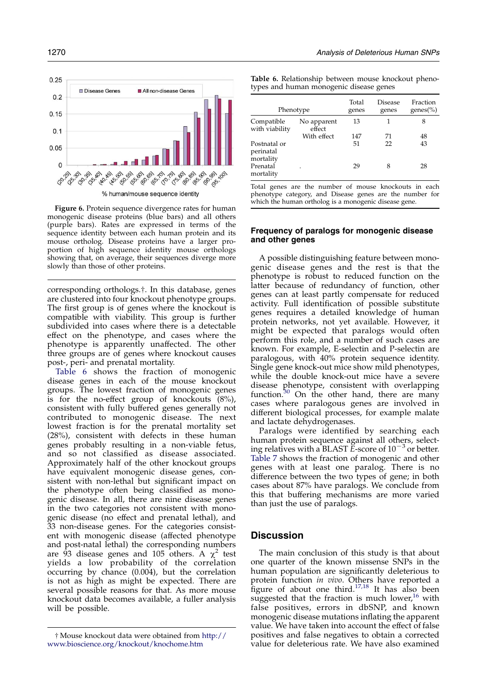<span id="page-7-0"></span>

Figure 6. Protein sequence divergence rates for human monogenic disease proteins (blue bars) and all others (purple bars). Rates are expressed in terms of the sequence identity between each human protein and its mouse ortholog. Disease proteins have a larger proportion of high sequence identity mouse orthologs showing that, on average, their sequences diverge more slowly than those of other proteins.

corresponding orthologs.†. In this database, genes are clustered into four knockout phenotype groups. The first group is of genes where the knockout is compatible with viability. This group is further subdivided into cases where there is a detectable effect on the phenotype, and cases where the phenotype is apparently unaffected. The other three groups are of genes where knockout causes post-, peri- and prenatal mortality.

Table 6 shows the fraction of monogenic disease genes in each of the mouse knockout groups. The lowest fraction of monogenic genes is for the no-effect group of knockouts  $(8\%)$ , consistent with fully buffered genes generally not contributed to monogenic disease. The next lowest fraction is for the prenatal mortality set (28%), consistent with defects in these human genes probably resulting in a non-viable fetus, and so not classified as disease associated. Approximately half of the other knockout groups have equivalent monogenic disease genes, consistent with non-lethal but significant impact on the phenotype often being classified as monogenic disease. In all, there are nine disease genes in the two categories not consistent with monogenic disease (no effect and prenatal lethal), and 33 non-disease genes. For the categories consistent with monogenic disease (affected phenotype and post-natal lethal) the corresponding numbers are 93 disease genes and 105 others. A  $\chi^2$  test yields a low probability of the correlation occurring by chance (0.004), but the correlation is not as high as might be expected. There are several possible reasons for that. As more mouse knockout data becomes available, a fuller analysis will be possible.

Table 6. Relationship between mouse knockout phenotypes and human monogenic disease genes

| Phenotype                              |                       | Total<br>genes | Disease<br>genes | Fraction<br>genes $(\% )$ |
|----------------------------------------|-----------------------|----------------|------------------|---------------------------|
| Compatible<br>with viability           | No apparent<br>effect | 13             |                  | 8                         |
|                                        | With effect           | 147            | 71               | 48                        |
| Postnatal or<br>perinatal<br>mortality |                       | 51             | 22               | 43                        |
| Prenatal<br>mortality                  |                       | 29             | 8                | 28                        |

Total genes are the number of mouse knockouts in each phenotype category, and Disease genes are the number for which the human ortholog is a monogenic disease gene.

# Frequency of paralogs for monogenic disease and other genes

A possible distinguishing feature between monogenic disease genes and the rest is that the phenotype is robust to reduced function on the latter because of redundancy of function, other genes can at least partly compensate for reduced activity. Full identification of possible substitute genes requires a detailed knowledge of human protein networks, not yet available. However, it might be expected that paralogs would often perform this role, and a number of such cases are known. For example, E-selectin and P-selectin are paralogous, with 40% protein sequence identity. Single gene knock-out mice show mild phenotypes, while the double knock-out mice have a severe disease phenotype, consistent with overlapping function.<sup>[30](#page-11-0)</sup> On the other hand, there are many cases where paralogous genes are involved in different biological processes, for example malate and lactate dehydrogenases.

Paralogs were identified by searching each human protein sequence against all others, selecting relatives with a BLAST  $\check{E}$ -score of  $10^{-3}$  or better. [Table 7](#page-8-0) shows the fraction of monogenic and other genes with at least one paralog. There is no difference between the two types of gene; in both cases about 87% have paralogs. We conclude from this that buffering mechanisms are more varied than just the use of paralogs.

# **Discussion**

The main conclusion of this study is that about one quarter of the known missense SNPs in the human population are significantly deleterious to protein function *in vivo*. Others have reported a figure of about one third.<sup>[17,18](#page-10-0)</sup> It has also been suggested that the fraction is much lower, $16$  with false positives, errors in dbSNP, and known monogenic disease mutations inflating the apparent value. We have taken into account the effect of false positives and false negatives to obtain a corrected value for deleterious rate. We have also examined

<sup>†</sup> Mouse knockout data were obtained from [http://](http://www.bioscience.org/knockout/knochome.htm) [www.bioscience.org/knockout/knochome.htm](http://www.bioscience.org/knockout/knochome.htm)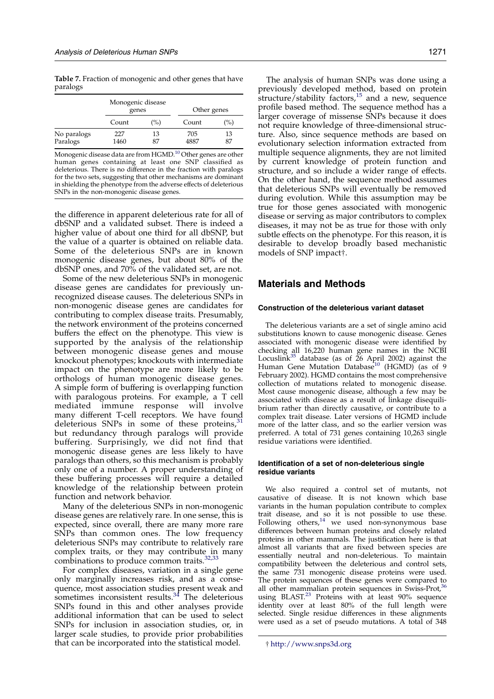<span id="page-8-0"></span>Table 7. Fraction of monogenic and other genes that have paralogs

|                         | Monogenic disease<br>genes |          | Other genes |               |  |
|-------------------------|----------------------------|----------|-------------|---------------|--|
|                         | Count                      | $($ %)   | Count       | $\frac{9}{0}$ |  |
| No paralogs<br>Paralogs | 227<br>1460                | 13<br>87 | 705<br>4887 | 13<br>87      |  |

Monogenic disease data are from HGMD. $^{10}$  $^{10}$  $^{10}$  Other genes are other human genes containing at least one SNP classified as deleterious. There is no difference in the fraction with paralogs for the two sets, suggesting that other mechanisms are dominant in shielding the phenotype from the adverse effects of deleterious SNPs in the non-monogenic disease genes.

the difference in apparent deleterious rate for all of dbSNP and a validated subset. There is indeed a higher value of about one third for all dbSNP, but the value of a quarter is obtained on reliable data. Some of the deleterious SNPs are in known monogenic disease genes, but about 80% of the dbSNP ones, and 70% of the validated set, are not.

Some of the new deleterious SNPs in monogenic disease genes are candidates for previously unrecognized disease causes. The deleterious SNPs in non-monogenic disease genes are candidates for contributing to complex disease traits. Presumably, the network environment of the proteins concerned buffers the effect on the phenotype. This view is supported by the analysis of the relationship between monogenic disease genes and mouse knockout phenotypes; knockouts with intermediate impact on the phenotype are more likely to be orthologs of human monogenic disease genes. A simple form of buffering is overlapping function with paralogous proteins. For example, a T cell mediated immune response will involve many different T-cell receptors. We have found deleterious SNPs in some of these proteins, $31$ but redundancy through paralogs will provide buffering. Surprisingly, we did not find that monogenic disease genes are less likely to have paralogs than others, so this mechanism is probably only one of a number. A proper understanding of these buffering processes will require a detailed knowledge of the relationship between protein function and network behavior.

Many of the deleterious SNPs in non-monogenic disease genes are relatively rare. In one sense, this is expected, since overall, there are many more rare SNPs than common ones. The low frequency deleterious SNPs may contribute to relatively rare complex traits, or they may contribute in many combinations to produce common traits.<sup>[32,33](#page-11-0)</sup>

For complex diseases, variation in a single gene only marginally increases risk, and as a consequence, most association studies present weak and sometimes inconsistent results.<sup>[34](#page-11-0)</sup> The deleterious SNPs found in this and other analyses provide additional information that can be used to select SNPs for inclusion in association studies, or, in larger scale studies, to provide prior probabilities that can be incorporated into the statistical model.

The analysis of human SNPs was done using a previously developed method, based on protein structure/stability factors,<sup>[15](#page-10-0)</sup> and a new, sequence profile based method. The sequence method has a larger coverage of missense SNPs because it does not require knowledge of three-dimensional structure. Also, since sequence methods are based on evolutionary selection information extracted from multiple sequence alignments, they are not limited by current knowledge of protein function and structure, and so include a wider range of effects. On the other hand, the sequence method assumes that deleterious SNPs will eventually be removed during evolution. While this assumption may be true for those genes associated with monogenic disease or serving as major contributors to complex diseases, it may not be as true for those with only subtle effects on the phenotype. For this reason, it is desirable to develop broadly based mechanistic models of SNP impact†.

# Materials and Methods

### Construction of the deleterious variant dataset

The deleterious variants are a set of single amino acid substitutions known to cause monogenic disease. Genes associated with monogenic disease were identified by checking all 16,220 human gene names in the NCBI<br>Locuslink<sup>[35](#page-11-0)</sup> database (as of 26 April 2002) against the Human Gene Mutation Database<sup>[10](#page-10-0)</sup> (HGMD) (as of 9 February 2002). HGMD contains the most comprehensive collection of mutations related to monogenic disease. Most cause monogenic disease, although a few may be associated with disease as a result of linkage disequilibrium rather than directly causative, or contribute to a complex trait disease. Later versions of HGMD include more of the latter class, and so the earlier version was preferred. A total of 731 genes containing 10,263 single residue variations were identified.

### Identification of a set of non-deleterious single residue variants

We also required a control set of mutants, not causative of disease. It is not known which base variants in the human population contribute to complex trait disease, and so it is not possible to use these. Following others, $14$  we used non-synonymous base differences between human proteins and closely related proteins in other mammals. The justification here is that almost all variants that are fixed between species are essentially neutral and non-deleterious. To maintain compatibility between the deleterious and control sets, the same 731 monogenic disease proteins were used. The protein sequences of these genes were compared to all other mammalian protein sequences in Swiss-Prot, $36$ using BLAST.<sup>[23](#page-10-0)</sup> Proteins with at least 90% sequence identity over at least 80% of the full length were selected. Single residue differences in these alignments were used as a set of pseudo mutations. A total of 348

<sup>†</sup> <http://www.snps3d.org>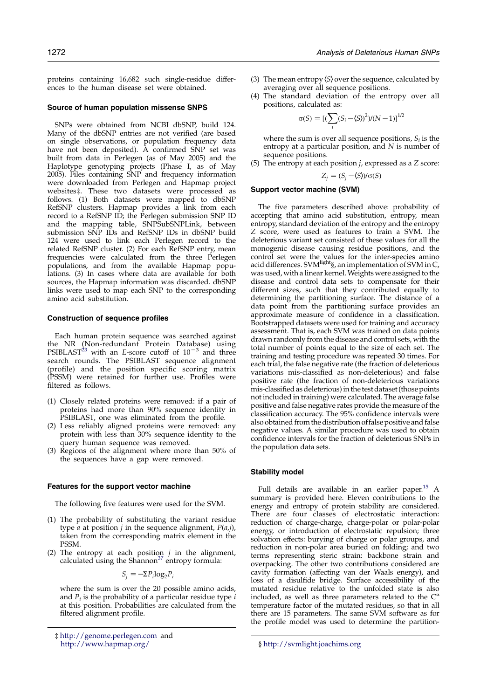proteins containing 16,682 such single-residue differences to the human disease set were obtained.

### Source of human population missense SNPS

SNPs were obtained from NCBI dbSNP, build 124. Many of the dbSNP entries are not verified (are based on single observations, or population frequency data have not been deposited). A confirmed SNP set was built from data in Perlegen (as of May 2005) and the Haplotype genotyping projects (Phase I, as of May 2005). Files containing SNP and frequency information were downloaded from Perlegen and Hapmap project websites‡. These two datasets were processed as follows. (1) Both datasets were mapped to dbSNP RefSNP clusters. Hapmap provides a link from each record to a RefSNP ID; the Perlegen submission SNP ID and the mapping table, SNPSubSNPLink, between submission SNP IDs and RefSNP IDs in dbSNP build 124 were used to link each Perlegen record to the related RefSNP cluster. (2) For each RefSNP entry, mean frequencies were calculated from the three Perlegen populations, and from the available Hapmap populations. (3) In cases where data are available for both sources, the Hapmap information was discarded. dbSNP links were used to map each SNP to the corresponding amino acid substitution.

### Construction of sequence profiles

Each human protein sequence was searched against the NR (Non-redundant Protein Database) using<br>PSIBLAST<sup>[23](#page-10-0)</sup> with an E-score cutoff of 10<sup>-3</sup> and three search rounds. The PSIBLAST sequence alignment (profile) and the position specific scoring matrix (PSSM) were retained for further use. Profiles were filtered as follows.

- (1) Closely related proteins were removed: if a pair of proteins had more than 90% sequence identity in PSIBLAST, one was eliminated from the profile.
- (2) Less reliably aligned proteins were removed: any protein with less than 30% sequence identity to the query human sequence was removed.
- (3) Regions of the alignment where more than 50% of the sequences have a gap were removed.

#### Features for the support vector machine

The following five features were used for the SVM.

- (1) The probability of substituting the variant residue type *a* at position *j* in the sequence alignment,  $P(a,j)$ , taken from the corresponding matrix element in the PSSM.
- (2) The entropy at each position  $j$  in the alignment, calculated using the Shannon $37$  entropy formula:

$$
S_j = -\Sigma P_i \log_2 P_i
$$

where the sum is over the 20 possible amino acids, and  $P_i$  is the probability of a particular residue type  $i$ at this position. Probabilities are calculated from the filtered alignment profile.

- (3) The mean entropy  $\langle S \rangle$  over the sequence, calculated by averaging over all sequence positions.
- (4) The standard deviation of the entropy over all positions, calculated as:

$$
\sigma(S) = [(\sum_{i} (S_i - \langle S \rangle)^2)/(N - 1)]^{1/2}
$$

where the sum is over all sequence positions,  $S_i$  is the entropy at a particular position, and N is number of sequence positions.

(5) The entropy at each position  $j$ , expressed as a  $Z$  score:

$$
Z_j = (S_j - \langle S \rangle) / \sigma(S)
$$

### Support vector machine (SVM)

The five parameters described above: probability of accepting that amino acid substitution, entropy, mean entropy, standard deviation of the entropy and the entropy Z score, were used as features to train a SVM. The deleterious variant set consisted of these values for all the monogenic disease causing residue positions, and the control set were the values for the inter-species amino acid differences. SVM<sup>light</sup>§, an implementation of SVM in C, was used, with a linear kernel. Weights were assigned to the disease and control data sets to compensate for their different sizes, such that they contributed equally to determining the partitioning surface. The distance of a data point from the partitioning surface provides an approximate measure of confidence in a classification. Bootstrapped datasets were used for training and accuracy assessment. That is, each SVM was trained on data points drawn randomly from the disease and control sets, with the total number of points equal to the size of each set. The training and testing procedure was repeated 30 times. For each trial, the false negative rate (the fraction of deleterious variations mis-classified as non-deleterious) and false positive rate (the fraction of non-deleterious variations mis-classified as deleterious) in the test dataset (those points not included in training) were calculated. The average false positive and false negative rates provide the measure of the classification accuracy. The 95% confidence intervals were also obtained from the distribution offalse positive and false negative values. A similar procedure was used to obtain confidence intervals for the fraction of deleterious SNPs in the population data sets.

### Stability model

Full details are available in an earlier paper.<sup>15</sup> A summary is provided here. Eleven contributions to the energy and entropy of protein stability are considered. There are four classes of electrostatic interaction: reduction of charge-charge, charge-polar or polar-polar energy, or introduction of electrostatic repulsion; three solvation effects: burying of charge or polar groups, and reduction in non-polar area buried on folding; and two terms representing steric strain: backbone strain and overpacking. The other two contributions considered are cavity formation (affecting van der Waals energy), and loss of a disulfide bridge. Surface accessibility of the mutated residue relative to the unfolded state is also included, as well as three parameters related to the  $C^{\circ}$ temperature factor of the mutated residues, so that in all there are 15 parameters. The same SVM software as for the profile model was used to determine the partition-

<sup>‡</sup> <http://genome.perlegen.com> and <http://www.hapmap.org/> § <http://svmlight.joachims.org>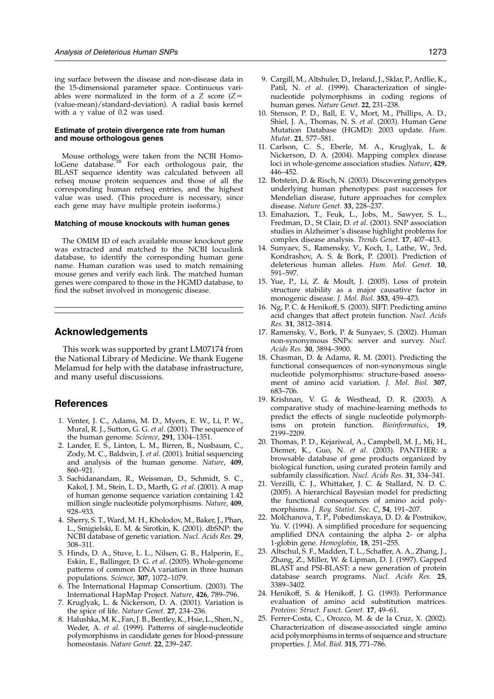<span id="page-10-0"></span>ing surface between the disease and non-disease data in the 15-dimensional parameter space. Continuous variables were normalized in the form of a  $Z$  score ( $Z=$ (value-mean)/standard-deviation). A radial basis kernel with a  $\gamma$  value of 0.2 was used.

### Estimate of protein divergence rate from human and mouse orthologous genes

Mouse orthologs were taken from the NCBI Homo-<br>loGene database.<sup>[38](#page-11-0)</sup> For each orthologous pair, the BLAST sequence identity was calculated between all refseq mouse protein sequences and those of all the corresponding human refseq entries, and the highest value was used. (This procedure is necessary, since each gene may have multiple protein isoforms.)

#### Matching of mouse knockouts with human genes

The OMIM ID of each available mouse knockout gene was extracted and matched to the NCBI locuslink database, to identify the corresponding human gene name. Human curation was used to match remaining mouse genes and verify each link. The matched human genes were compared to those in the HGMD database, to find the subset involved in monogenic disease.

# Acknowledgements

This work was supported by grant LM07174 from the National Library of Medicine. We thank Eugene Melamud for help with the database infrastructure, and many useful discussions.

# **References**

- 1. Venter, J. C., Adams, M. D., Myers, E. W., Li, P. W., Mural, R. J., Sutton, G. G. et al. (2001). The sequence of the human genome. Science, 291, 1304–1351.
- 2. Lander, E. S., Linton, L. M., Birren, B., Nusbaum, C., Zody, M. C., Baldwin, J. et al. (2001). Initial sequencing and analysis of the human genome. Nature, 409, 860–921.
- 3. Sachidanandam, R., Weissman, D., Schmidt, S. C., Kakol, J. M., Stein, L. D., Marth, G. et al. (2001). A map of human genome sequence variation containing 1.42 million single nucleotide polymorphisms. Nature, 409, 928–933.
- 4. Sherry, S. T., Ward, M. H., Kholodov, M., Baker, J., Phan, L., Smigielski, E. M. & Sirotkin, K. (2001). dbSNP: the NCBI database of genetic variation. Nucl. Acids Res. 29, 308–311.
- 5. Hinds, D. A., Stuve, L. L., Nilsen, G. B., Halperin, E., Eskin, E., Ballinger, D. G. et al. (2005). Whole-genome patterns of common DNA variation in three human populations. Science, 307, 1072-1079.
- 6. The International Hapmap Consortium. (2003). The International HapMap Project. Nature, 426, 789–796.
- 7. Kruglyak, L. & Nickerson, D. A. (2001). Variation is the spice of life. Nature Genet. 27, 234–236.
- 8. Halushka, M. K., Fan, J. B., Bentley, K., Hsie, L., Shen, N., Weder, A. et al. (1999). Patterns of single-nucleotide polymorphisms in candidate genes for blood-pressure homeostasis. Nature Genet. 22, 239–247.
- 9. Cargill, M., Altshuler, D., Ireland, J., Sklar, P., Ardlie, K., Patil, N. et al. (1999). Characterization of singlenucleotide polymorphisms in coding regions of human genes. Nature Genet. 22, 231–238.
- 10. Stenson, P. D., Ball, E. V., Mort, M., Phillips, A. D., Shiel, J. A., Thomas, N. S. et al. (2003). Human Gene Mutation Database (HGMD): 2003 update. Hum. Mutat. 21, 577–581.
- 11. Carlson, C. S., Eberle, M. A., Kruglyak, L. & Nickerson, D. A. (2004). Mapping complex disease loci in whole-genome association studies. Nature, 429, 446–452.
- 12. Botstein, D. & Risch, N. (2003). Discovering genotypes underlying human phenotypes: past successes for Mendelian disease, future approaches for complex disease. Nature Genet. 33, 228–237.
- 13. Emahazion, T., Feuk, L., Jobs, M., Sawyer, S. L., Fredman, D., St Clair, D. et al. (2001). SNP association studies in Alzheimer's disease highlight problems for complex disease analysis. Trends Genet. 17, 407-413.
- 14. Sunyaev, S., Ramensky, V., Koch, I., Lathe, W., 3rd, Kondrashov, A. S. & Bork, P. (2001). Prediction of deleterious human alleles. Hum. Mol. Genet. 10, 591–597.
- 15. Yue, P., Li, Z. & Moult, J. (2005). Loss of protein structure stability as a major causative factor in monogenic disease. J. Mol. Biol. 353, 459–473.
- 16. Ng, P. C. & Henikoff, S. (2003). SIFT: Predicting amino acid changes that affect protein function. Nucl. Acids Res. 31, 3812–3814.
- 17. Ramensky, V., Bork, P. & Sunyaev, S. (2002). Human non-synonymous SNPs: server and survey. Nucl. Acids Res. 30, 3894–3900.
- 18. Chasman, D. & Adams, R. M. (2001). Predicting the functional consequences of non-synonymous single nucleotide polymorphisms: structure-based assessment of amino acid variation. J. Mol. Biol. 307, 683–706.
- 19. Krishnan, V. G. & Westhead, D. R. (2003). A comparative study of machine-learning methods to predict the effects of single nucleotide polymorphisms on protein function. Bioinformatics, 19, 2199–2209.
- 20. Thomas, P. D., Kejariwal, A., Campbell, M. J., Mi, H., Diemer, K., Guo, N. et al. (2003). PANTHER: a browsable database of gene products organized by biological function, using curated protein family and subfamily classification. Nucl. Acids Res. 31, 334–341.
- 21. Verzilli, C. J., Whittaker, J. C. & Stallard, N. D. C. (2005). A hierarchical Bayesian model for predicting the functional consequences of amino acid polymorphisms. J. Roy. Statist. Soc. C, 54, 191–207.
- 22. Molchanova, T. P., Pobedimskaya, D. D. & Postnikov, Yu. V. (1994). A simplified procedure for sequencing amplified DNA containing the alpha 2- or alpha 1-globin gene. Hemoglobin, 18, 251–255.
- 23. Altschul, S. F., Madden, T. L., Schaffer, A. A., Zhang, J., Zhang, Z., Miller, W. & Lipman, D. J. (1997). Gapped BLAST and PSI-BLAST: a new generation of protein database search programs. Nucl. Acids Res. 25, 3389–3402.
- 24. Henikoff, S. & Henikoff, J. G. (1993). Performance evaluation of amino acid substitution matrices. Proteins: Struct. Funct. Genet. 17, 49–61.
- 25. Ferrer-Costa, C., Orozco, M. & de la Cruz, X. (2002). Characterization of disease-associated single amino acid polymorphisms in terms of sequence and structure properties. J. Mol. Biol. 315, 771–786.